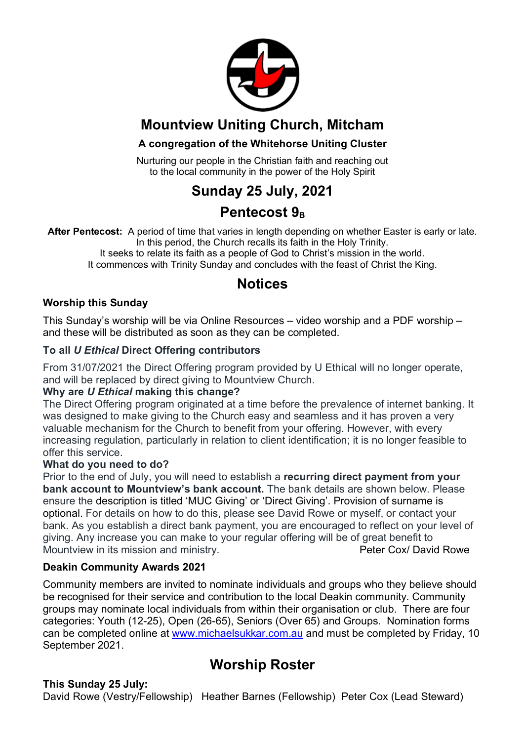

## **Mountview Uniting Church, Mitcham**

#### **A congregation of the Whitehorse Uniting Cluster**

Nurturing our people in the Christian faith and reaching out to the local community in the power of the Holy Spirit

## **Sunday 25 July, 2021**

## **Pentecost 9**<sub>B</sub>

**After Pentecost:** A period of time that varies in length depending on whether Easter is early or late. In this period, the Church recalls its faith in the Holy Trinity.

It seeks to relate its faith as a people of God to Christ's mission in the world. It commences with Trinity Sunday and concludes with the feast of Christ the King.

### **Notices**

#### **Worship this Sunday**

This Sunday's worship will be via Online Resources – video worship and a PDF worship – and these will be distributed as soon as they can be completed.

#### **To all** *U Ethical* **Direct Offering contributors**

From 31/07/2021 the Direct Offering program provided by U Ethical will no longer operate, and will be replaced by direct giving to Mountview Church.

#### **Why are** *U Ethical* **making this change?**

The Direct Offering program originated at a time before the prevalence of internet banking. It was designed to make giving to the Church easy and seamless and it has proven a very valuable mechanism for the Church to benefit from your offering. However, with every increasing regulation, particularly in relation to client identification; it is no longer feasible to offer this service.

#### **What do you need to do?**

Prior to the end of July, you will need to establish a **recurring direct payment from your bank account to Mountview's bank account.** The bank details are shown below. Please ensure the description is titled 'MUC Giving' or 'Direct Giving'. Provision of surname is optional. For details on how to do this, please see David Rowe or myself, or contact your bank. As you establish a direct bank payment, you are encouraged to reflect on your level of giving. Any increase you can make to your regular offering will be of great benefit to Mountview in its mission and ministry. The match of the Peter Cox/ David Rowe

#### **Deakin Community Awards 2021**

Community members are invited to nominate individuals and groups who they believe should be recognised for their service and contribution to the local Deakin community. Community groups may nominate local individuals from within their organisation or club. There are four categories: Youth (12-25), Open (26-65), Seniors (Over 65) and Groups. Nomination forms can be completed online at www.michaelsukkar.com.au and must be completed by Friday, 10 September 2021.

## **Worship Roster**

#### **This Sunday 25 July:**

David Rowe (Vestry/Fellowship) Heather Barnes (Fellowship) Peter Cox (Lead Steward)